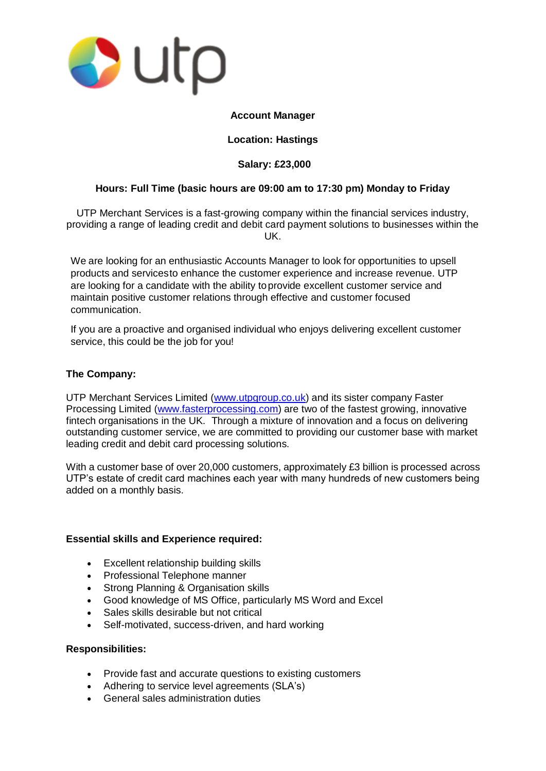

### **Account Manager**

## **Location: Hastings**

# **Salary: £23,000**

## **Hours: Full Time (basic hours are 09:00 am to 17:30 pm) Monday to Friday**

UTP Merchant Services is a fast-growing company within the financial services industry, providing a range of leading credit and debit card payment solutions to businesses within the UK.

We are looking for an enthusiastic Accounts Manager to look for opportunities to upsell products and servicesto enhance the customer experience and increase revenue. UTP are looking for a candidate with the ability toprovide excellent customer service and maintain positive customer relations through effective and customer focused communication.

If you are a proactive and organised individual who enjoys delivering excellent customer service, this could be the job for you!

### **The Company:**

UTP Merchant Services Limited [\(www.utpgroup.co.uk\)](http://www.utpgroup.co.uk/) and its sister company Faster Processing Limited [\(www.fasterprocessing.com\)](http://www.fasterprocessing.com/) are two of the fastest growing, innovative fintech organisations in the UK. Through a mixture of innovation and a focus on delivering outstanding customer service, we are committed to providing our customer base with market leading credit and debit card processing solutions.

With a customer base of over 20,000 customers, approximately £3 billion is processed across UTP's estate of credit card machines each year with many hundreds of new customers being added on a monthly basis.

#### **Essential skills and Experience required:**

- Excellent relationship building skills
- Professional Telephone manner
- Strong Planning & Organisation skills
- Good knowledge of MS Office, particularly MS Word and Excel
- Sales skills desirable but not critical
- Self-motivated, success-driven, and hard working

#### **Responsibilities:**

- Provide fast and accurate questions to existing customers
- Adhering to service level agreements (SLA's)
- **General sales administration duties**